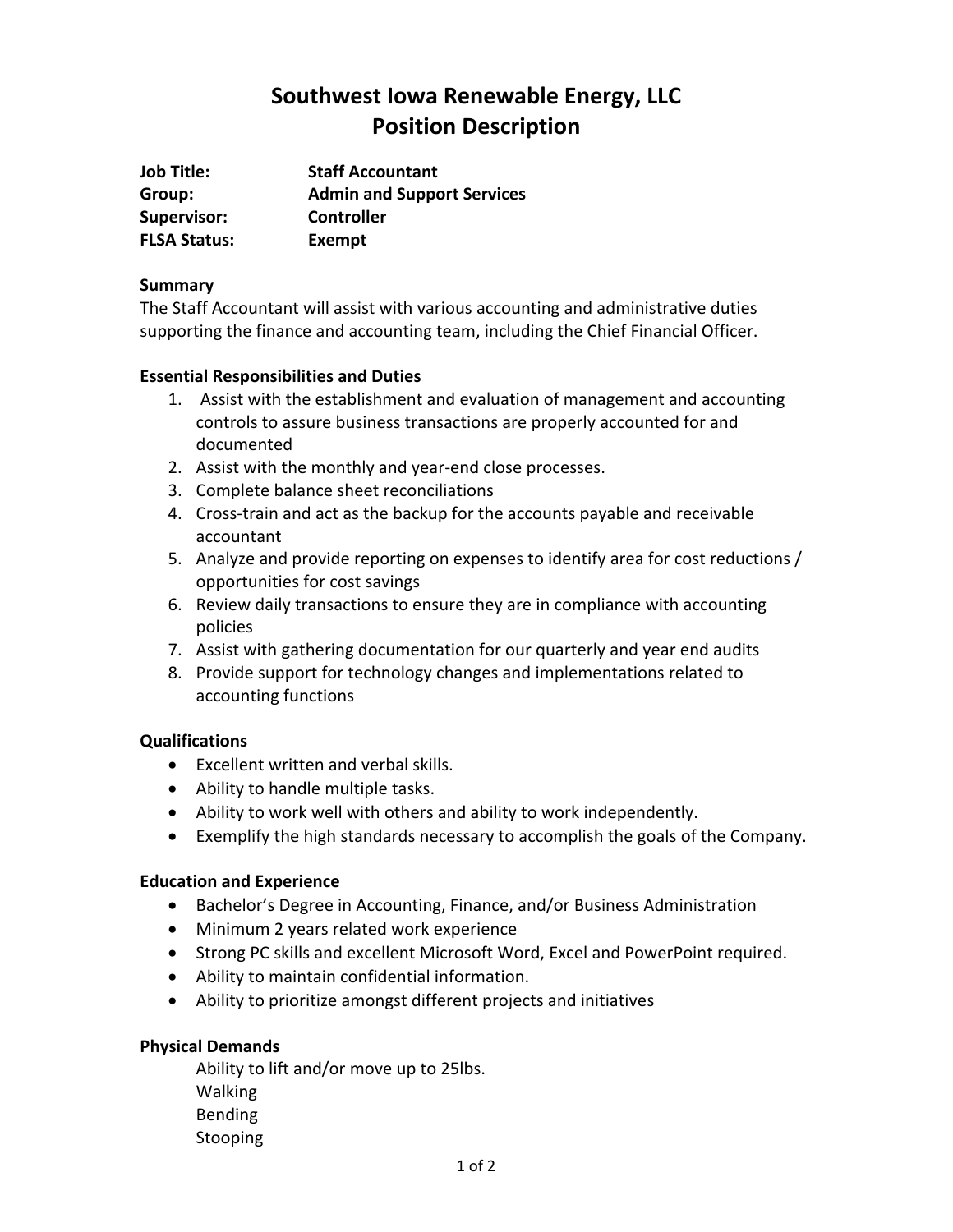# **Southwest Iowa Renewable Energy, LLC Position Description**

| <b>Job Title:</b>   | <b>Staff Accountant</b>           |
|---------------------|-----------------------------------|
| Group:              | <b>Admin and Support Services</b> |
| <b>Supervisor:</b>  | <b>Controller</b>                 |
| <b>FLSA Status:</b> | Exempt                            |

### **Summary**

The Staff Accountant will assist with various accounting and administrative duties supporting the finance and accounting team, including the Chief Financial Officer.

## **Essential Responsibilities and Duties**

- 1. Assist with the establishment and evaluation of management and accounting controls to assure business transactions are properly accounted for and documented
- 2. Assist with the monthly and year-end close processes.
- 3. Complete balance sheet reconciliations
- 4. Cross‐train and act as the backup for the accounts payable and receivable accountant
- 5. Analyze and provide reporting on expenses to identify area for cost reductions / opportunities for cost savings
- 6. Review daily transactions to ensure they are in compliance with accounting policies
- 7. Assist with gathering documentation for our quarterly and year end audits
- 8. Provide support for technology changes and implementations related to accounting functions

## **Qualifications**

- Excellent written and verbal skills.
- Ability to handle multiple tasks.
- Ability to work well with others and ability to work independently.
- Exemplify the high standards necessary to accomplish the goals of the Company.

## **Education and Experience**

- Bachelor's Degree in Accounting, Finance, and/or Business Administration
- Minimum 2 years related work experience
- Strong PC skills and excellent Microsoft Word, Excel and PowerPoint required.
- Ability to maintain confidential information.
- Ability to prioritize amongst different projects and initiatives

## **Physical Demands**

Ability to lift and/or move up to 25lbs. Walking Bending **Stooping**